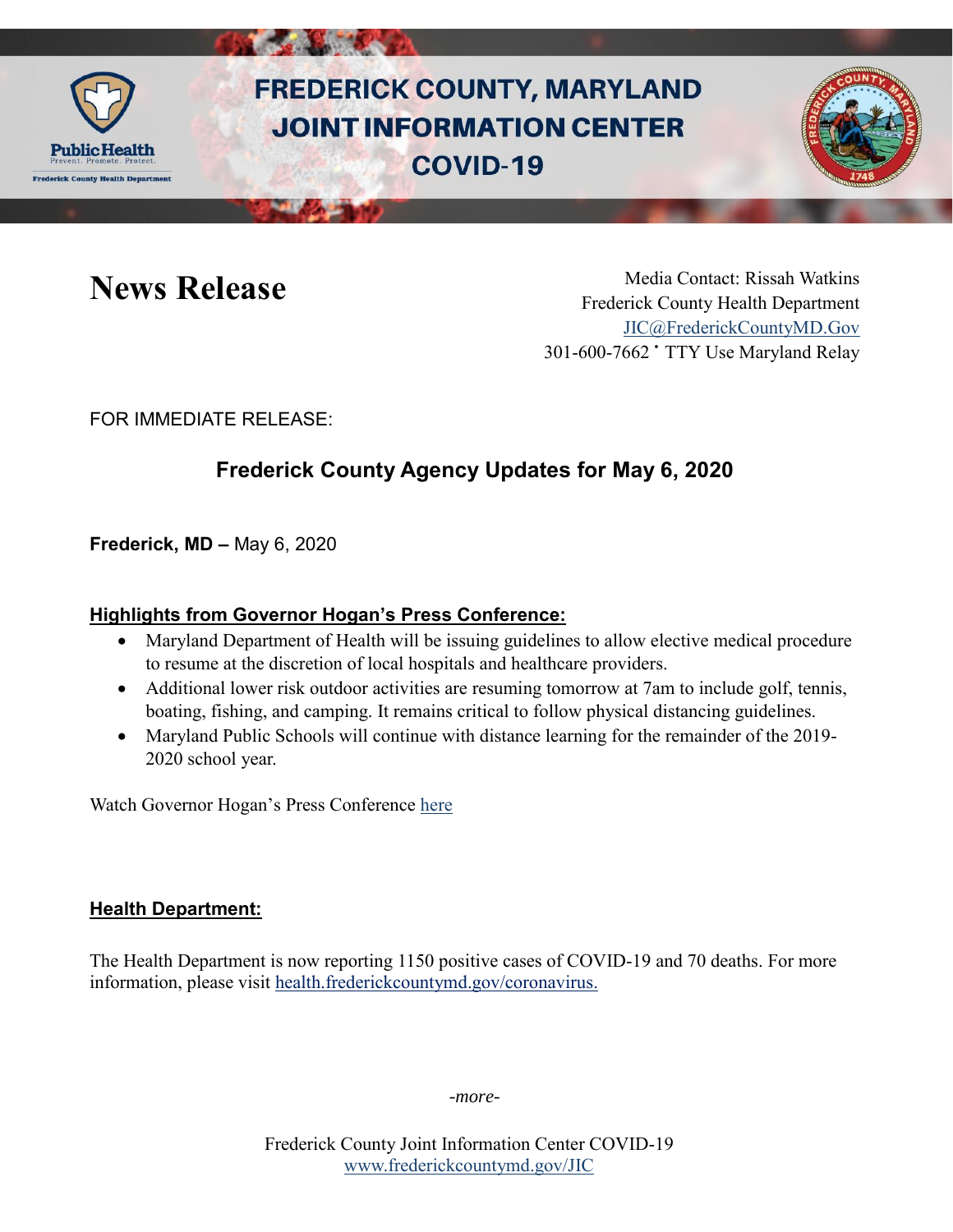

# **FREDERICK COUNTY, MARYLAND JOINT INFORMATION CENTER COVID-19**



News Release Media Contact: Rissah Watkins Frederick County Health Department [JIC@FrederickCountyMD.Gov](mailto:JIC@FrederickCountyMD.Gov) 301-600-7662 • TTY Use Maryland Relay

FOR IMMEDIATE RELEASE:

## **Frederick County Agency Updates for May 6, 2020**

**Frederick, MD –** May 6, 2020

#### **Highlights from Governor Hogan's Press Conference:**

- Maryland Department of Health will be issuing guidelines to allow elective medical procedure to resume at the discretion of local hospitals and healthcare providers.
- Additional lower risk outdoor activities are resuming tomorrow at 7am to include golf, tennis, boating, fishing, and camping. It remains critical to follow physical distancing guidelines.
- Maryland Public Schools will continue with distance learning for the remainder of the 2019- 2020 school year.

Watch Governor Hogan's Press Conference [here](https://www.facebook.com/GovLarryHogan/videos/702834520495336/)

#### **Health Department:**

The Health Department is now reporting 1150 positive cases of COVID-19 and 70 deaths. For more information, please visit [health.frederickcountymd.gov/coronavirus.](https://health.frederickcountymd.gov/614/Novel-Coronavirus-COVID-19)

*-more-*

Frederick County Joint Information Center COVID-19 [www.frederickcountymd.gov/JIC](https://frederickcountymd.gov/JIC)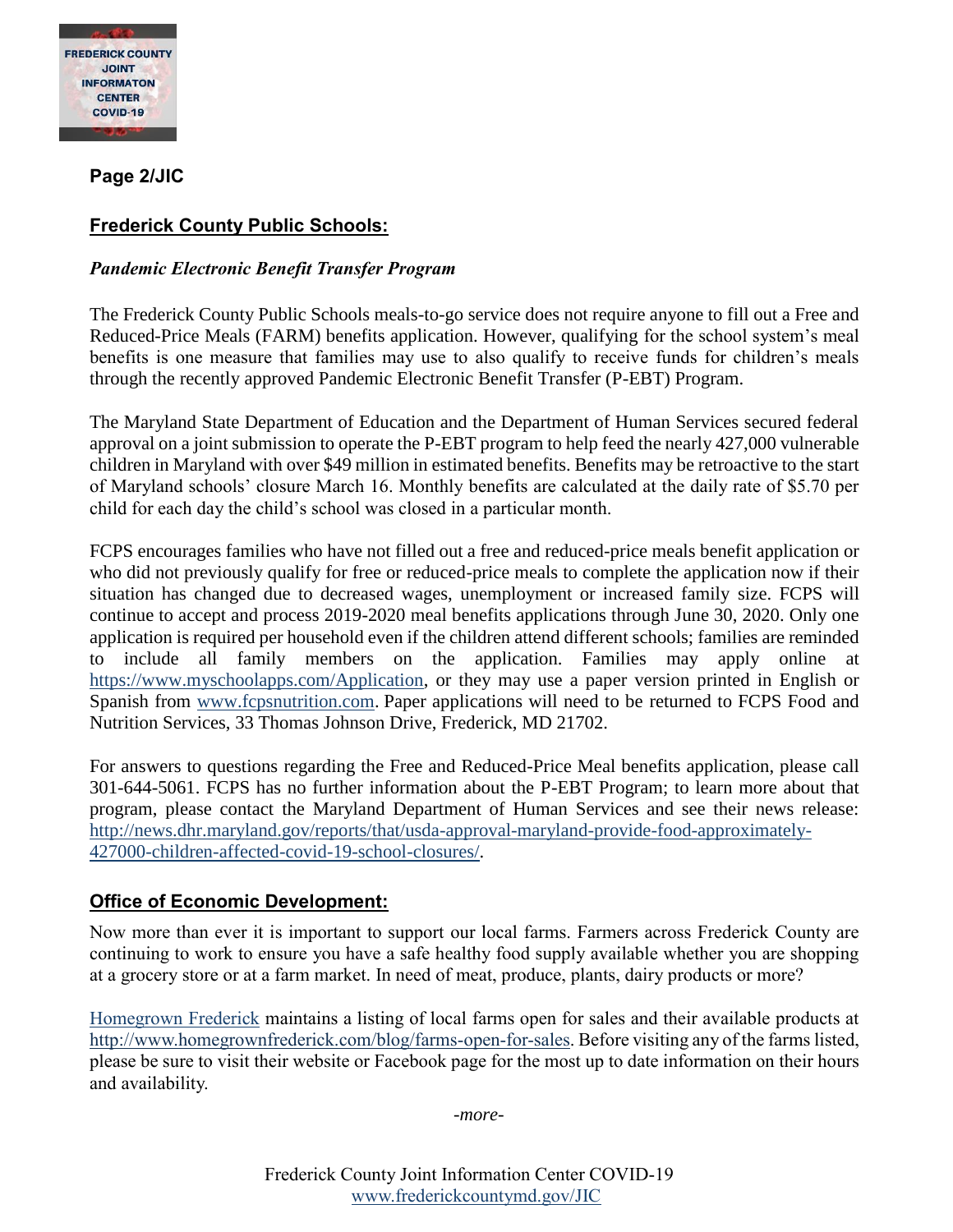

**Page 2/JIC**

### **Frederick County Public Schools:**

#### *Pandemic Electronic Benefit Transfer Program*

The Frederick County Public Schools meals-to-go service does not require anyone to fill out a Free and Reduced-Price Meals (FARM) benefits application. However, qualifying for the school system's meal benefits is one measure that families may use to also qualify to receive funds for children's meals through the recently approved Pandemic Electronic Benefit Transfer (P-EBT) Program.

The Maryland State Department of Education and the Department of Human Services secured federal approval on a joint submission to operate the P-EBT program to help feed the nearly 427,000 vulnerable children in Maryland with over \$49 million in estimated benefits. Benefits may be retroactive to the start of Maryland schools' closure March 16. Monthly benefits are calculated at the daily rate of \$5.70 per child for each day the child's school was closed in a particular month.

FCPS encourages families who have not filled out a free and reduced-price meals benefit application or who did not previously qualify for free or reduced-price meals to complete the application now if their situation has changed due to decreased wages, unemployment or increased family size. FCPS will continue to accept and process 2019-2020 meal benefits applications through June 30, 2020. Only one application is required per household even if the children attend different schools; families are reminded to include all family members on the application. Families may apply online at [https://www.myschoolapps.com/Application,](https://www.myschoolapps.com/Application) or they may use a paper version printed in English or Spanish from [www.fcpsnutrition.com.](http://www.fcpsnutrition.com/) Paper applications will need to be returned to FCPS Food and Nutrition Services, 33 Thomas Johnson Drive, Frederick, MD 21702.

For answers to questions regarding the Free and Reduced-Price Meal benefits application, please call 301-644-5061. FCPS has no further information about the P-EBT Program; to learn more about that program, please contact the Maryland Department of Human Services and see their news release: [http://news.dhr.maryland.gov/reports/that/usda-approval-maryland-provide-food-approximately-](http://news.dhr.maryland.gov/reports/that/usda-approval-maryland-provide-food-approximately-427000-children-affected-covid-19-school-closures/)[427000-children-affected-covid-19-school-closures/.](http://news.dhr.maryland.gov/reports/that/usda-approval-maryland-provide-food-approximately-427000-children-affected-covid-19-school-closures/)

#### **Office of Economic Development:**

Now more than ever it is important to support our local farms. Farmers across Frederick County are continuing to work to ensure you have a safe healthy food supply available whether you are shopping at a grocery store or at a farm market. In need of meat, produce, plants, dairy products or more?

[Homegrown Frederick](http://www.homegrownfrederick.com/) maintains a listing of local farms open for sales and their available products at [http://www.homegrownfrederick.com/blog/farms-open-for-sales.](http://www.homegrownfrederick.com/blog/farms-open-for-sales) Before visiting any of the farms listed, please be sure to visit their website or Facebook page for the most up to date information on their hours and availability.

*-more-*